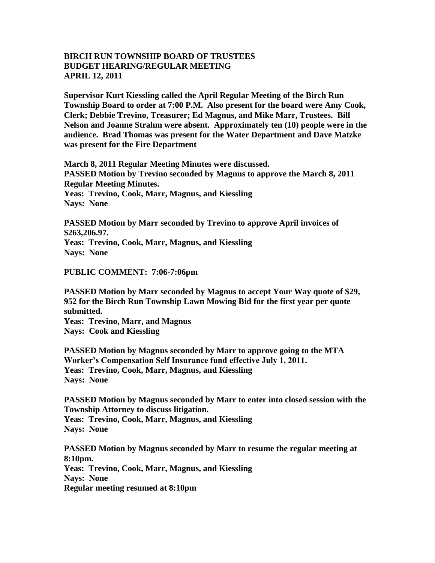## **BIRCH RUN TOWNSHIP BOARD OF TRUSTEES BUDGET HEARING/REGULAR MEETING APRIL 12, 2011**

**Supervisor Kurt Kiessling called the April Regular Meeting of the Birch Run Township Board to order at 7:00 P.M. Also present for the board were Amy Cook, Clerk; Debbie Trevino, Treasurer; Ed Magnus, and Mike Marr, Trustees. Bill Nelson and Joanne Strahm were absent. Approximately ten (10) people were in the audience. Brad Thomas was present for the Water Department and Dave Matzke was present for the Fire Department**

**March 8, 2011 Regular Meeting Minutes were discussed. PASSED Motion by Trevino seconded by Magnus to approve the March 8, 2011 Regular Meeting Minutes. Yeas: Trevino, Cook, Marr, Magnus, and Kiessling Nays: None** 

**PASSED Motion by Marr seconded by Trevino to approve April invoices of \$263,206.97. Yeas: Trevino, Cook, Marr, Magnus, and Kiessling Nays: None** 

## **PUBLIC COMMENT: 7:06-7:06pm**

**PASSED Motion by Marr seconded by Magnus to accept Your Way quote of \$29, 952 for the Birch Run Township Lawn Mowing Bid for the first year per quote submitted.**

**Yeas: Trevino, Marr, and Magnus Nays: Cook and Kiessling**

**PASSED Motion by Magnus seconded by Marr to approve going to the MTA Worker's Compensation Self Insurance fund effective July 1, 2011. Yeas: Trevino, Cook, Marr, Magnus, and Kiessling Nays: None**

**PASSED Motion by Magnus seconded by Marr to enter into closed session with the Township Attorney to discuss litigation. Yeas: Trevino, Cook, Marr, Magnus, and Kiessling**

**Nays: None** 

**PASSED Motion by Magnus seconded by Marr to resume the regular meeting at 8:10pm.**

**Yeas: Trevino, Cook, Marr, Magnus, and Kiessling Nays: None Regular meeting resumed at 8:10pm**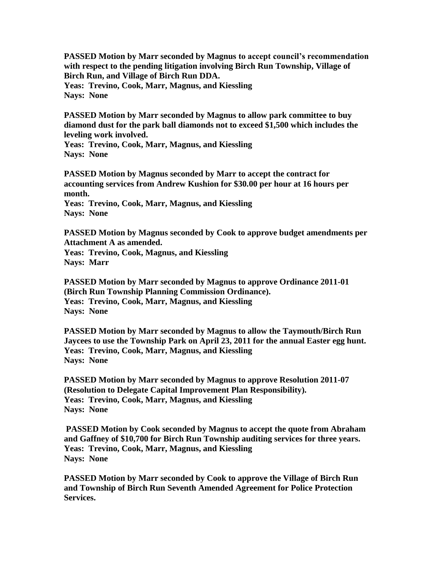**PASSED Motion by Marr seconded by Magnus to accept council's recommendation with respect to the pending litigation involving Birch Run Township, Village of Birch Run, and Village of Birch Run DDA. Yeas: Trevino, Cook, Marr, Magnus, and Kiessling Nays: None** 

**PASSED Motion by Marr seconded by Magnus to allow park committee to buy diamond dust for the park ball diamonds not to exceed \$1,500 which includes the leveling work involved.**

**Yeas: Trevino, Cook, Marr, Magnus, and Kiessling Nays: None** 

**PASSED Motion by Magnus seconded by Marr to accept the contract for accounting services from Andrew Kushion for \$30.00 per hour at 16 hours per month.**

**Yeas: Trevino, Cook, Marr, Magnus, and Kiessling Nays: None** 

**PASSED Motion by Magnus seconded by Cook to approve budget amendments per Attachment A as amended.**

**Yeas: Trevino, Cook, Magnus, and Kiessling Nays: Marr**

**PASSED Motion by Marr seconded by Magnus to approve Ordinance 2011-01 (Birch Run Township Planning Commission Ordinance). Yeas: Trevino, Cook, Marr, Magnus, and Kiessling Nays: None** 

**PASSED Motion by Marr seconded by Magnus to allow the Taymouth/Birch Run Jaycees to use the Township Park on April 23, 2011 for the annual Easter egg hunt. Yeas: Trevino, Cook, Marr, Magnus, and Kiessling Nays: None** 

**PASSED Motion by Marr seconded by Magnus to approve Resolution 2011-07 (Resolution to Delegate Capital Improvement Plan Responsibility). Yeas: Trevino, Cook, Marr, Magnus, and Kiessling Nays: None** 

**PASSED Motion by Cook seconded by Magnus to accept the quote from Abraham and Gaffney of \$10,700 for Birch Run Township auditing services for three years. Yeas: Trevino, Cook, Marr, Magnus, and Kiessling Nays: None** 

**PASSED Motion by Marr seconded by Cook to approve the Village of Birch Run and Township of Birch Run Seventh Amended Agreement for Police Protection Services.**